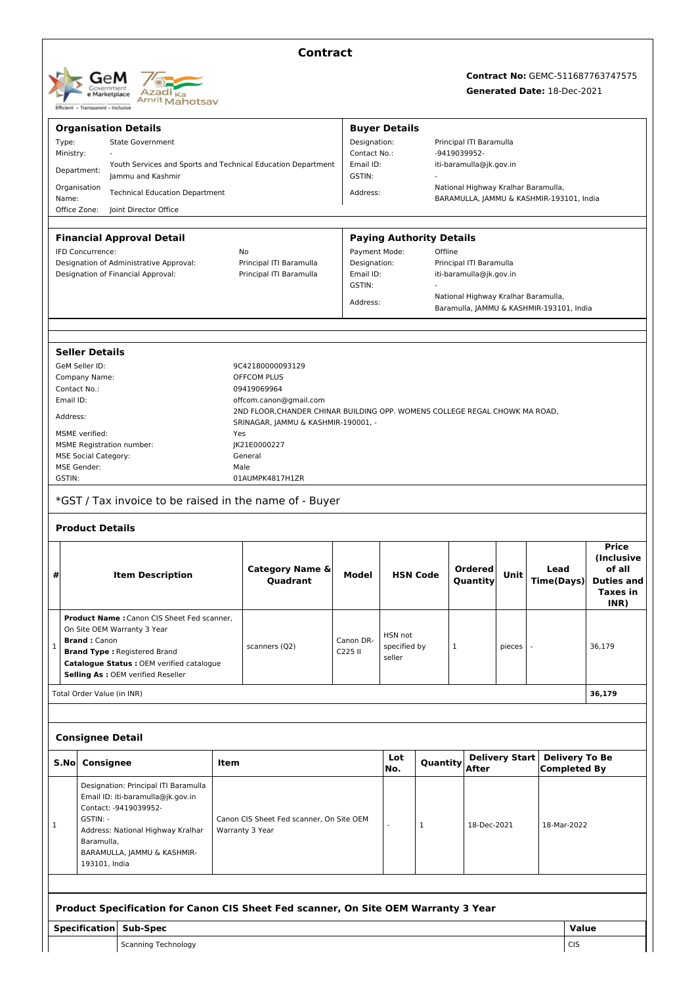

### **Contract**

# **Contract No:** GEMC-511687763747575

## **Generated Date:** 18-Dec-2021

| <b>Organisation Details</b> |                                                                                                                            |                                                                                    |          |                                                                             |                           | <b>Buyer Details</b>    |                                 |                                                                                 |                       |                           |             |                                                           |  |
|-----------------------------|----------------------------------------------------------------------------------------------------------------------------|------------------------------------------------------------------------------------|----------|-----------------------------------------------------------------------------|---------------------------|-------------------------|---------------------------------|---------------------------------------------------------------------------------|-----------------------|---------------------------|-------------|-----------------------------------------------------------|--|
|                             | Type:<br><b>State Government</b>                                                                                           |                                                                                    |          | Designation:                                                                |                           |                         | Principal ITI Baramulla         |                                                                                 |                       |                           |             |                                                           |  |
| Ministry:                   |                                                                                                                            | Youth Services and Sports and Technical Education Department                       |          |                                                                             | Contact No.:<br>Email ID: |                         |                                 | -9419039952-<br>iti-baramulla@jk.gov.in                                         |                       |                           |             |                                                           |  |
|                             | Department:                                                                                                                | lammu and Kashmir                                                                  |          |                                                                             | GSTIN:                    |                         |                                 |                                                                                 |                       |                           |             |                                                           |  |
|                             | Organisation                                                                                                               |                                                                                    |          |                                                                             |                           |                         |                                 | National Highway Kralhar Baramulla,                                             |                       |                           |             |                                                           |  |
| Name:                       |                                                                                                                            | <b>Technical Education Department</b>                                              | Address: | BARAMULLA, JAMMU & KASHMIR-193101, India                                    |                           |                         |                                 |                                                                                 |                       |                           |             |                                                           |  |
|                             | Office Zone:                                                                                                               | Joint Director Office                                                              |          |                                                                             |                           |                         |                                 |                                                                                 |                       |                           |             |                                                           |  |
|                             |                                                                                                                            | <b>Financial Approval Detail</b>                                                   |          |                                                                             |                           |                         | <b>Paying Authority Details</b> |                                                                                 |                       |                           |             |                                                           |  |
|                             | IFD Concurrence:                                                                                                           |                                                                                    |          | Payment Mode:<br>No                                                         |                           |                         | Offline                         |                                                                                 |                       |                           |             |                                                           |  |
|                             |                                                                                                                            | Designation of Administrative Approval:                                            |          | Principal ITI Baramulla                                                     |                           | Designation:            |                                 | Principal ITI Baramulla                                                         |                       |                           |             |                                                           |  |
|                             |                                                                                                                            | Designation of Financial Approval:                                                 |          | Principal ITI Baramulla                                                     | Email ID:                 |                         |                                 | iti-baramulla@jk.gov.in                                                         |                       |                           |             |                                                           |  |
|                             |                                                                                                                            |                                                                                    |          |                                                                             | GSTIN:                    |                         |                                 |                                                                                 |                       |                           |             |                                                           |  |
|                             |                                                                                                                            |                                                                                    |          |                                                                             | Address:                  |                         |                                 | National Highway Kralhar Baramulla,<br>Baramulla, JAMMU & KASHMIR-193101, India |                       |                           |             |                                                           |  |
|                             |                                                                                                                            |                                                                                    |          |                                                                             |                           |                         |                                 |                                                                                 |                       |                           |             |                                                           |  |
|                             | <b>Seller Details</b>                                                                                                      |                                                                                    |          |                                                                             |                           |                         |                                 |                                                                                 |                       |                           |             |                                                           |  |
|                             | GeM Seller ID:                                                                                                             |                                                                                    |          | 9C42180000093129                                                            |                           |                         |                                 |                                                                                 |                       |                           |             |                                                           |  |
|                             | Company Name:                                                                                                              |                                                                                    |          | <b>OFFCOM PLUS</b>                                                          |                           |                         |                                 |                                                                                 |                       |                           |             |                                                           |  |
|                             | Contact No.:                                                                                                               |                                                                                    |          | 09419069964                                                                 |                           |                         |                                 |                                                                                 |                       |                           |             |                                                           |  |
| Email ID:                   |                                                                                                                            |                                                                                    |          | offcom.canon@gmail.com                                                      |                           |                         |                                 |                                                                                 |                       |                           |             |                                                           |  |
| Address:                    |                                                                                                                            |                                                                                    |          | 2ND FLOOR, CHANDER CHINAR BUILDING OPP. WOMENS COLLEGE REGAL CHOWK MA ROAD, |                           |                         |                                 |                                                                                 |                       |                           |             |                                                           |  |
|                             | <b>MSME</b> verified:                                                                                                      |                                                                                    | Yes      | SRINAGAR, JAMMU & KASHMIR-190001, -                                         |                           |                         |                                 |                                                                                 |                       |                           |             |                                                           |  |
|                             | <b>MSME Registration number:</b>                                                                                           |                                                                                    |          | JK21E0000227                                                                |                           |                         |                                 |                                                                                 |                       |                           |             |                                                           |  |
|                             | <b>MSE Social Category:</b>                                                                                                |                                                                                    |          | General                                                                     |                           |                         |                                 |                                                                                 |                       |                           |             |                                                           |  |
|                             | <b>MSE Gender:</b>                                                                                                         |                                                                                    | Male     |                                                                             |                           |                         |                                 |                                                                                 |                       |                           |             |                                                           |  |
| GSTIN:                      |                                                                                                                            |                                                                                    |          | 01AUMPK4817H1ZR                                                             |                           |                         |                                 |                                                                                 |                       |                           |             |                                                           |  |
|                             |                                                                                                                            |                                                                                    |          |                                                                             |                           |                         |                                 |                                                                                 |                       |                           |             |                                                           |  |
|                             |                                                                                                                            | *GST / Tax invoice to be raised in the name of - Buyer                             |          |                                                                             |                           |                         |                                 |                                                                                 |                       |                           |             |                                                           |  |
|                             |                                                                                                                            |                                                                                    |          |                                                                             |                           |                         |                                 |                                                                                 |                       |                           |             |                                                           |  |
|                             | <b>Product Details</b>                                                                                                     |                                                                                    |          |                                                                             |                           |                         |                                 |                                                                                 |                       |                           |             |                                                           |  |
| #                           |                                                                                                                            | <b>Item Description</b>                                                            |          | Category Name &<br>Quadrant                                                 | Model                     |                         | <b>HSN Code</b>                 | <b>Ordered</b><br>Quantity                                                      | Unit                  | Lead<br><b>Time(Days)</b> |             | <b>Price</b><br>(Inclusive<br>of all<br><b>Duties and</b> |  |
|                             |                                                                                                                            |                                                                                    |          |                                                                             |                           |                         |                                 |                                                                                 |                       |                           |             | <b>Taxes in</b><br>INR)                                   |  |
|                             |                                                                                                                            | Product Name: Canon CIS Sheet Fed scanner,                                         |          |                                                                             |                           |                         |                                 |                                                                                 |                       |                           |             |                                                           |  |
|                             |                                                                                                                            | On Site OEM Warranty 3 Year                                                        |          |                                                                             |                           | HSN not<br>specified by |                                 |                                                                                 |                       |                           |             | 36,179                                                    |  |
| 1                           | <b>Brand: Canon</b>                                                                                                        | <b>Brand Type: Registered Brand</b>                                                |          | scanners (Q2)                                                               | Canon DR-<br>C225 II      |                         |                                 | 1                                                                               | pieces                |                           |             |                                                           |  |
|                             |                                                                                                                            | Catalogue Status : OEM verified catalogue                                          |          |                                                                             |                           | seller                  |                                 |                                                                                 |                       |                           |             |                                                           |  |
|                             |                                                                                                                            | Selling As : OEM verified Reseller                                                 |          |                                                                             |                           |                         |                                 |                                                                                 |                       |                           |             |                                                           |  |
|                             | Total Order Value (in INR)                                                                                                 |                                                                                    |          |                                                                             |                           |                         |                                 |                                                                                 |                       |                           |             | 36,179                                                    |  |
|                             |                                                                                                                            |                                                                                    |          |                                                                             |                           |                         |                                 |                                                                                 |                       |                           |             |                                                           |  |
|                             | <b>Consignee Detail</b>                                                                                                    |                                                                                    |          |                                                                             |                           |                         |                                 |                                                                                 |                       |                           |             |                                                           |  |
| S.No                        | <b>Consignee</b>                                                                                                           |                                                                                    | Item     |                                                                             |                           | Lot                     | Quantity                        |                                                                                 | <b>Delivery Start</b> |                           |             | <b>Delivery To Be</b>                                     |  |
|                             |                                                                                                                            |                                                                                    |          |                                                                             |                           | No.                     |                                 | After                                                                           |                       |                           |             | <b>Completed By</b>                                       |  |
|                             |                                                                                                                            | Designation: Principal ITI Baramulla                                               |          |                                                                             |                           |                         |                                 |                                                                                 |                       |                           |             |                                                           |  |
|                             | Email ID: iti-baramulla@jk.gov.in<br>Contact: - 9419039952-<br>GSTIN: -<br>Address: National Highway Kralhar<br>Baramulla, |                                                                                    |          | Canon CIS Sheet Fed scanner, On Site OEM<br>Warranty 3 Year                 |                           |                         |                                 |                                                                                 | 18-Dec-2021           |                           |             |                                                           |  |
|                             |                                                                                                                            |                                                                                    |          |                                                                             |                           |                         |                                 |                                                                                 |                       |                           | 18-Mar-2022 |                                                           |  |
| 1                           |                                                                                                                            |                                                                                    |          |                                                                             |                           |                         | 1                               |                                                                                 |                       |                           |             |                                                           |  |
|                             |                                                                                                                            |                                                                                    |          |                                                                             |                           |                         |                                 |                                                                                 |                       |                           |             |                                                           |  |
|                             |                                                                                                                            | BARAMULLA, JAMMU & KASHMIR-                                                        |          |                                                                             |                           |                         |                                 |                                                                                 |                       |                           |             |                                                           |  |
|                             | 193101, India                                                                                                              |                                                                                    |          |                                                                             |                           |                         |                                 |                                                                                 |                       |                           |             |                                                           |  |
|                             |                                                                                                                            |                                                                                    |          |                                                                             |                           |                         |                                 |                                                                                 |                       |                           |             |                                                           |  |
|                             |                                                                                                                            | Product Specification for Canon CIS Sheet Fed scanner, On Site OEM Warranty 3 Year |          |                                                                             |                           |                         |                                 |                                                                                 |                       |                           |             |                                                           |  |
|                             |                                                                                                                            | Specification Sub-Spec                                                             |          |                                                                             |                           |                         |                                 |                                                                                 |                       |                           |             | Value                                                     |  |
|                             |                                                                                                                            |                                                                                    |          |                                                                             |                           |                         |                                 |                                                                                 |                       |                           |             |                                                           |  |
|                             |                                                                                                                            | <b>Scanning Technology</b>                                                         |          |                                                                             |                           |                         |                                 |                                                                                 |                       |                           | <b>CIS</b>  |                                                           |  |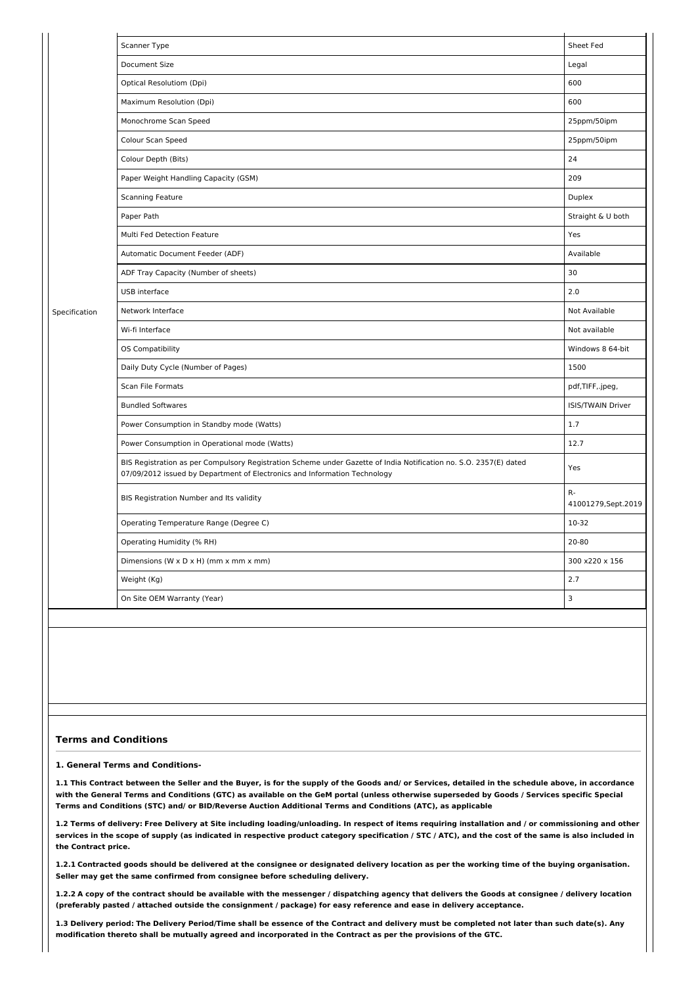|               | Scanner Type                                                                                                                                                                                   | Sheet Fed                  |  |
|---------------|------------------------------------------------------------------------------------------------------------------------------------------------------------------------------------------------|----------------------------|--|
|               | Document Size                                                                                                                                                                                  | Legal                      |  |
|               | Optical Resolutiom (Dpi)                                                                                                                                                                       | 600                        |  |
|               | Maximum Resolution (Dpi)                                                                                                                                                                       | 600                        |  |
|               | Monochrome Scan Speed                                                                                                                                                                          | 25ppm/50ipm                |  |
|               | Colour Scan Speed                                                                                                                                                                              | 25ppm/50ipm                |  |
|               | Colour Depth (Bits)                                                                                                                                                                            | 24                         |  |
|               | Paper Weight Handling Capacity (GSM)                                                                                                                                                           | 209                        |  |
|               | Scanning Feature                                                                                                                                                                               |                            |  |
|               | Paper Path                                                                                                                                                                                     | Straight & U both          |  |
|               | Multi Fed Detection Feature                                                                                                                                                                    | Yes                        |  |
|               | Automatic Document Feeder (ADF)                                                                                                                                                                | Available                  |  |
|               | ADF Tray Capacity (Number of sheets)                                                                                                                                                           | 30                         |  |
|               | USB interface                                                                                                                                                                                  | 2.0                        |  |
| Specification | Network Interface                                                                                                                                                                              | Not Available              |  |
|               | Wi-fi Interface                                                                                                                                                                                | Not available              |  |
|               | <b>OS Compatibility</b>                                                                                                                                                                        | Windows 8 64-bit           |  |
|               | Daily Duty Cycle (Number of Pages)                                                                                                                                                             | 1500                       |  |
|               | Scan File Formats                                                                                                                                                                              | pdf,TIFF,.jpeg,            |  |
|               | <b>Bundled Softwares</b>                                                                                                                                                                       | <b>ISIS/TWAIN Driver</b>   |  |
|               | Power Consumption in Standby mode (Watts)                                                                                                                                                      | 1.7                        |  |
|               | Power Consumption in Operational mode (Watts)                                                                                                                                                  | 12.7                       |  |
|               | BIS Registration as per Compulsory Registration Scheme under Gazette of India Notification no. S.O. 2357(E) dated<br>07/09/2012 issued by Department of Electronics and Information Technology | Yes                        |  |
|               | BIS Registration Number and Its validity                                                                                                                                                       | R-<br>41001279, Sept. 2019 |  |
|               | Operating Temperature Range (Degree C)                                                                                                                                                         | 10-32                      |  |
|               | Operating Humidity (% RH)                                                                                                                                                                      | 20-80                      |  |
|               | Dimensions (W x D x H) (mm x mm x mm)                                                                                                                                                          | 300 x220 x 156             |  |
|               | Weight (Kg)                                                                                                                                                                                    | 2.7                        |  |
|               | On Site OEM Warranty (Year)                                                                                                                                                                    | 3                          |  |
|               |                                                                                                                                                                                                |                            |  |

#### **Terms and Conditions**

#### **1. General Terms and Conditions-**

1.1 This Contract between the Seller and the Buyer, is for the supply of the Goods and/ or Services, detailed in the schedule above, in accordance with the General Terms and Conditions (GTC) as available on the GeM portal (unless otherwise superseded by Goods / Services specific Special **Terms and Conditions (STC) and/ or BID/Reverse Auction Additional Terms and Conditions (ATC), as applicable**

1.2 Terms of delivery: Free Delivery at Site including loading/unloading. In respect of items requiring installation and / or commissioning and other services in the scope of supply (as indicated in respective product category specification / STC / ATC), and the cost of the same is also included in **the Contract price.**

1.2.1 Contracted goods should be delivered at the consignee or designated delivery location as per the working time of the buying organisation. **Seller may get the same confirmed from consignee before scheduling delivery.**

1.2.2 A copy of the contract should be available with the messenger / dispatching agency that delivers the Goods at consignee / delivery location (preferably pasted / attached outside the consignment / package) for easy reference and ease in delivery acceptance.

1.3 Delivery period: The Delivery Period/Time shall be essence of the Contract and delivery must be completed not later than such date(s). Any modification thereto shall be mutually agreed and incorporated in the Contract as per the provisions of the GTC.